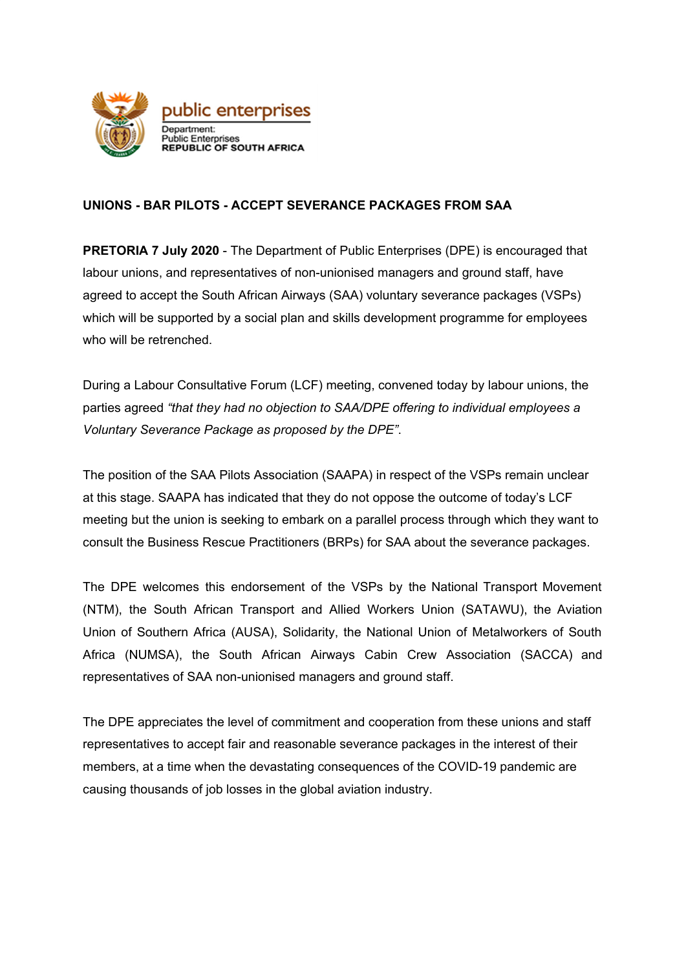

## **UNIONS - BAR PILOTS - ACCEPT SEVERANCE PACKAGES FROM SAA**

**PRETORIA 7 July 2020** - The Department of Public Enterprises (DPE) is encouraged that labour unions, and representatives of non-unionised managers and ground staff, have agreed to accept the South African Airways (SAA) voluntary severance packages (VSPs) which will be supported by a social plan and skills development programme for employees who will be retrenched.

During a Labour Consultative Forum (LCF) meeting, convened today by labour unions, the parties agreed *"that they had no objection to SAA/DPE offering to individual employees a Voluntary Severance Package as proposed by the DPE"*.

The position of the SAA Pilots Association (SAAPA) in respect of the VSPs remain unclear at this stage. SAAPA has indicated that they do not oppose the outcome of today's LCF meeting but the union is seeking to embark on a parallel process through which they want to consult the Business Rescue Practitioners (BRPs) for SAA about the severance packages.

The DPE welcomes this endorsement of the VSPs by the National Transport Movement (NTM), the South African Transport and Allied Workers Union (SATAWU), the Aviation Union of Southern Africa (AUSA), Solidarity, the National Union of Metalworkers of South Africa (NUMSA), the South African Airways Cabin Crew Association (SACCA) and representatives of SAA non-unionised managers and ground staff.

The DPE appreciates the level of commitment and cooperation from these unions and staff representatives to accept fair and reasonable severance packages in the interest of their members, at a time when the devastating consequences of the COVID-19 pandemic are causing thousands of job losses in the global aviation industry.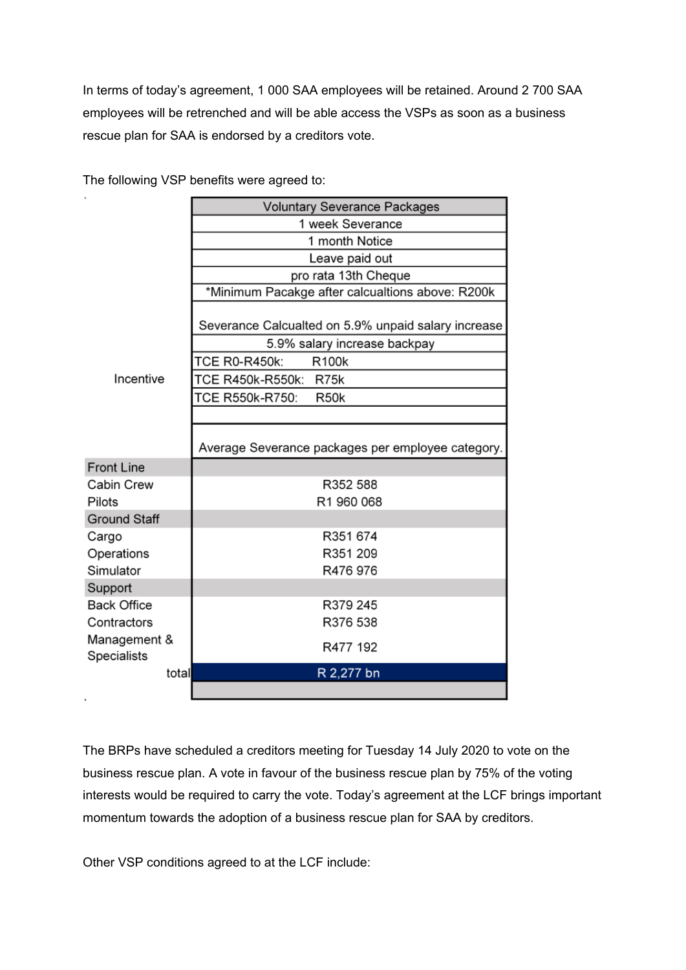In terms of today's agreement, 1 000 SAA employees will be retained. Around 2 700 SAA employees will be retrenched and will be able access the VSPs as soon as a business rescue plan for SAA is endorsed by a creditors vote.

|                     | <b>Voluntary Severance Packages</b>                 |
|---------------------|-----------------------------------------------------|
|                     | 1 week Severance                                    |
|                     | 1 month Notice                                      |
|                     | Leave paid out                                      |
|                     | pro rata 13th Cheque                                |
|                     | *Minimum Pacakge after calcualtions above: R200k    |
|                     | Severance Calcualted on 5.9% unpaid salary increase |
|                     | 5.9% salary increase backpay                        |
|                     | <b>TCE R0-R450k:</b><br><b>R100k</b>                |
| Incentive           | TCE R450k-R550k: R75k                               |
|                     | TCE R550k-R750:<br>R <sub>50</sub> k                |
|                     |                                                     |
|                     | Average Severance packages per employee category.   |
| <b>Front Line</b>   |                                                     |
| Cabin Crew          | R352 588                                            |
| Pilots              | R1 960 068                                          |
| <b>Ground Staff</b> |                                                     |
| Cargo               | R351 674                                            |
| Operations          | R351 209                                            |
| Simulator           | R476 976                                            |
| Support             |                                                     |
| <b>Back Office</b>  | R379 245                                            |
| Contractors         | R376 538                                            |
| Management &        | R477 192                                            |
| Specialists         |                                                     |
| total               | R 2,277 bn                                          |
|                     |                                                     |

The following VSP benefits were agreed to:

The BRPs have scheduled a creditors meeting for Tuesday 14 July 2020 to vote on the business rescue plan. A vote in favour of the business rescue plan by 75% of the voting interests would be required to carry the vote. Today's agreement at the LCF brings important momentum towards the adoption of a business rescue plan for SAA by creditors.

Other VSP conditions agreed to at the LCF include: